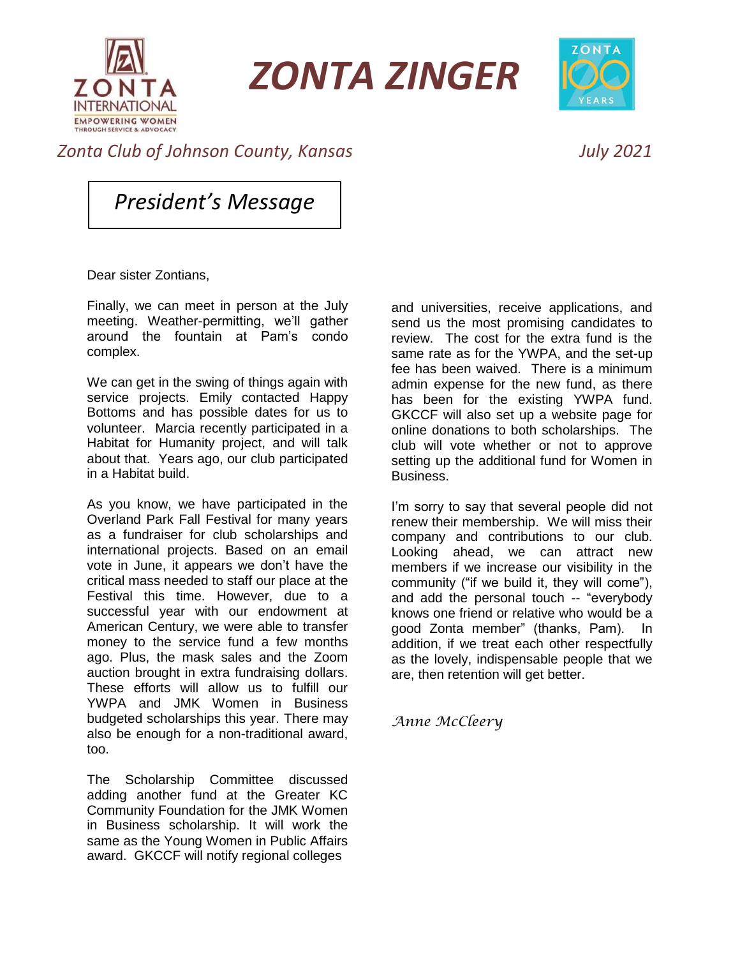

*ZONTA ZINGER*



## *Zonta Club of Johnson County, Kansas July 2021*

*President's Message*

Dear sister Zontians,

Finally, we can meet in person at the July meeting. Weather-permitting, we'll gather around the fountain at Pam's condo complex.

We can get in the swing of things again with service projects. Emily contacted Happy Bottoms and has possible dates for us to volunteer. Marcia recently participated in a Habitat for Humanity project, and will talk about that. Years ago, our club participated in a Habitat build.

As you know, we have participated in the Overland Park Fall Festival for many years as a fundraiser for club scholarships and international projects. Based on an email vote in June, it appears we don't have the critical mass needed to staff our place at the Festival this time. However, due to a successful year with our endowment at American Century, we were able to transfer money to the service fund a few months ago. Plus, the mask sales and the Zoom auction brought in extra fundraising dollars. These efforts will allow us to fulfill our YWPA and JMK Women in Business budgeted scholarships this year. There may also be enough for a non-traditional award, too.

The Scholarship Committee discussed adding another fund at the Greater KC Community Foundation for the JMK Women in Business scholarship. It will work the same as the Young Women in Public Affairs award. GKCCF will notify regional colleges

and universities, receive applications, and send us the most promising candidates to review. The cost for the extra fund is the same rate as for the YWPA, and the set-up fee has been waived. There is a minimum admin expense for the new fund, as there has been for the existing YWPA fund. GKCCF will also set up a website page for online donations to both scholarships. The club will vote whether or not to approve setting up the additional fund for Women in Business.

I'm sorry to say that several people did not renew their membership. We will miss their company and contributions to our club. Looking ahead, we can attract new members if we increase our visibility in the community ("if we build it, they will come"), and add the personal touch -- "everybody knows one friend or relative who would be a good Zonta member" (thanks, Pam). addition, if we treat each other respectfully as the lovely, indispensable people that we are, then retention will get better.

*Anne McCleery*